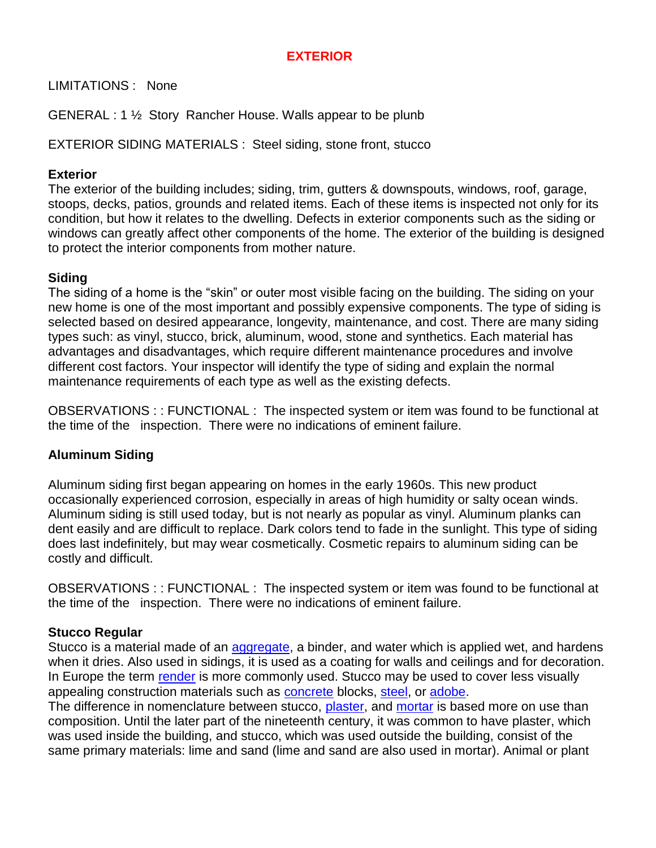# **EXTERIOR**

LIMITATIONS : None

GENERAL : 1 ½ Story Rancher House. Walls appear to be plunb

EXTERIOR SIDING MATERIALS : Steel siding, stone front, stucco

### **Exterior**

The exterior of the building includes; siding, trim, gutters & downspouts, windows, roof, garage, stoops, decks, patios, grounds and related items. Each of these items is inspected not only for its condition, but how it relates to the dwelling. Defects in exterior components such as the siding or windows can greatly affect other components of the home. The exterior of the building is designed to protect the interior components from mother nature.

## **Siding**

The siding of a home is the "skin" or outer most visible facing on the building. The siding on your new home is one of the most important and possibly expensive components. The type of siding is selected based on desired appearance, longevity, maintenance, and cost. There are many siding types such: as vinyl, stucco, brick, aluminum, wood, stone and synthetics. Each material has advantages and disadvantages, which require different maintenance procedures and involve different cost factors. Your inspector will identify the type of siding and explain the normal maintenance requirements of each type as well as the existing defects.

OBSERVATIONS : : FUNCTIONAL : The inspected system or item was found to be functional at the time of the inspection. There were no indications of eminent failure.

## **Aluminum Siding**

Aluminum siding first began appearing on homes in the early 1960s. This new product occasionally experienced corrosion, especially in areas of high humidity or salty ocean winds. Aluminum siding is still used today, but is not nearly as popular as vinyl. Aluminum planks can dent easily and are difficult to replace. Dark colors tend to fade in the sunlight. This type of siding does last indefinitely, but may wear cosmetically. Cosmetic repairs to aluminum siding can be costly and difficult.

OBSERVATIONS : : FUNCTIONAL : The inspected system or item was found to be functional at the time of the inspection. There were no indications of eminent failure.

### **Stucco Regular**

Stucco is a material made of an [aggregate,](/wiki/Aggregate) a binder, and water which is applied wet, and hardens when it dries. Also used in sidings, it is used as a coating for walls and ceilings and for decoration. In Europe the term [render](/wiki/Render) is more commonly used. Stucco may be used to cover less visually appealing construction materials such as [concrete](/wiki/Concrete) blocks, [steel,](/wiki/Steel) or [adobe.](/wiki/Adobe)

The difference in nomenclature between stucco, [plaster,](/wiki/Plaster) and [mortar](/wiki/Mortar_%28masonry%29) is based more on use than composition. Until the later part of the nineteenth century, it was common to have plaster, which was used inside the building, and stucco, which was used outside the building, consist of the same primary materials: lime and sand (lime and sand are also used in mortar). Animal or plant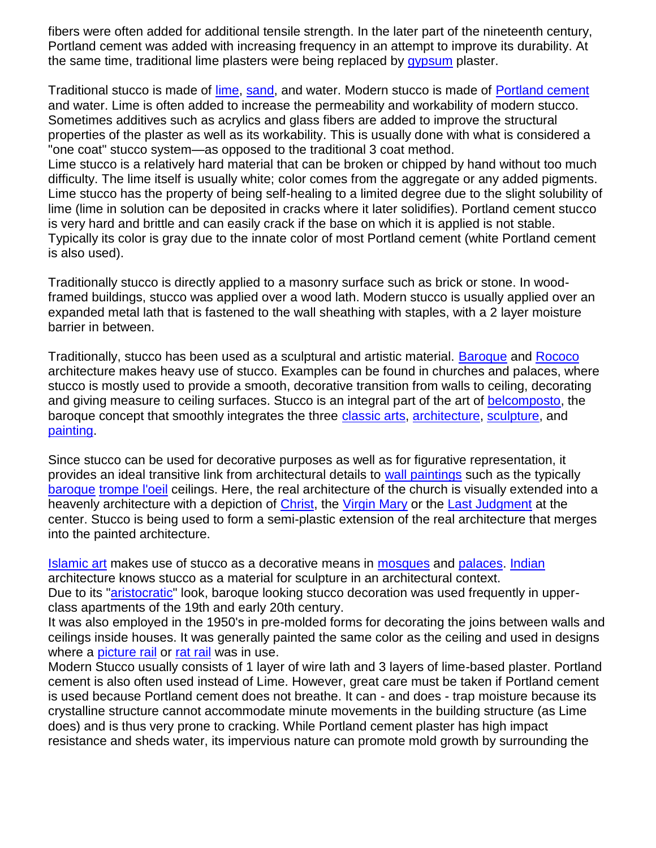fibers were often added for additional tensile strength. In the later part of the nineteenth century, Portland cement was added with increasing frequency in an attempt to improve its durability. At the same time, traditional lime plasters were being replaced by [gypsum](/wiki/Gypsum) plaster.

Traditional stucco is made of [lime,](/wiki/Lime_%28mineral%29) [sand,](/wiki/Sand) and water. Modern stucco is made of [Portland cement](/wiki/Portland_cement) and water. Lime is often added to increase the permeability and workability of modern stucco. Sometimes additives such as acrylics and glass fibers are added to improve the structural properties of the plaster as well as its workability. This is usually done with what is considered a "one coat" stucco system—as opposed to the traditional 3 coat method.

Lime stucco is a relatively hard material that can be broken or chipped by hand without too much difficulty. The lime itself is usually white; color comes from the aggregate or any added pigments. Lime stucco has the property of being self-healing to a limited degree due to the slight solubility of lime (lime in solution can be deposited in cracks where it later solidifies). Portland cement stucco is very hard and brittle and can easily crack if the base on which it is applied is not stable. Typically its color is gray due to the innate color of most Portland cement (white Portland cement is also used).

Traditionally stucco is directly applied to a masonry surface such as brick or stone. In woodframed buildings, stucco was applied over a wood lath. Modern stucco is usually applied over an expanded metal lath that is fastened to the wall sheathing with staples, with a 2 layer moisture barrier in between.

Traditionally, stucco has been used as a sculptural and artistic material. [Baroque](/wiki/Baroque) and [Rococo](/wiki/Rococo) architecture makes heavy use of stucco. Examples can be found in churches and palaces, where stucco is mostly used to provide a smooth, decorative transition from walls to ceiling, decorating and giving measure to ceiling surfaces. Stucco is an integral part of the art of [belcomposto,](/w/index.php?title=Belcomposto&action=edit) the baroque concept that smoothly integrates the three [classic arts,](/w/index.php?title=Classic_arts&action=edit) [architecture,](/wiki/Architecture) [sculpture,](/wiki/Sculpture) and [painting.](/wiki/Painting)

Since stucco can be used for decorative purposes as well as for figurative representation, it provides an ideal transitive link from architectural details to [wall paintings](/w/index.php?title=Wall_paintings&action=edit) such as the typically [baroque](/wiki/Baroque) [trompe l'oeil](/wiki/Trompe_l%27oeil) ceilings. Here, the real architecture of the church is visually extended into a heavenly architecture with a depiction of [Christ,](/wiki/Christ) the [Virgin Mary](/wiki/Blessed_Virgin_Mary) or the [Last Judgment](/wiki/Last_Judgment) at the center. Stucco is being used to form a semi-plastic extension of the real architecture that merges into the painted architecture.

[Islamic art](/wiki/Islamic_art) makes use of stucco as a decorative means in [mosques](/wiki/Mosques) and [palaces.](/wiki/Palaces) [Indian](/wiki/India) architecture knows stucco as a material for sculpture in an architectural context. Due to its ["aristocratic"](/wiki/Aristocratic) look, baroque looking stucco decoration was used frequently in upper-

class apartments of the 19th and early 20th century.

It was also employed in the 1950's in pre-molded forms for decorating the joins between walls and ceilings inside houses. It was generally painted the same color as the ceiling and used in designs where a [picture rail](/w/index.php?title=Picture_rail&action=edit) or [rat rail](/w/index.php?title=Rat_rail&action=edit) was in use.

Modern Stucco usually consists of 1 layer of wire lath and 3 layers of lime-based plaster. Portland cement is also often used instead of Lime. However, great care must be taken if Portland cement is used because Portland cement does not breathe. It can - and does - trap moisture because its crystalline structure cannot accommodate minute movements in the building structure (as Lime does) and is thus very prone to cracking. While Portland cement plaster has high impact resistance and sheds water, its impervious nature can promote mold growth by surrounding the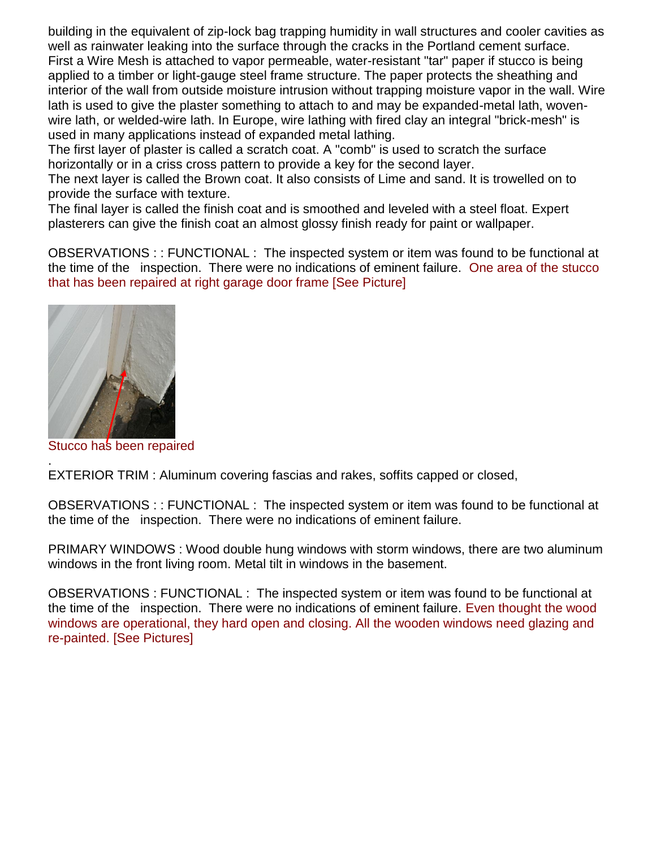building in the equivalent of zip-lock bag trapping humidity in wall structures and cooler cavities as well as rainwater leaking into the surface through the cracks in the Portland cement surface. First a Wire Mesh is attached to vapor permeable, water-resistant "tar" paper if stucco is being applied to a timber or light-gauge steel frame structure. The paper protects the sheathing and interior of the wall from outside moisture intrusion without trapping moisture vapor in the wall. Wire lath is used to give the plaster something to attach to and may be expanded-metal lath, wovenwire lath, or welded-wire lath. In Europe, wire lathing with fired clay an integral "brick-mesh" is used in many applications instead of expanded metal lathing.

The first layer of plaster is called a scratch coat. A "comb" is used to scratch the surface horizontally or in a criss cross pattern to provide a key for the second layer.

The next layer is called the Brown coat. It also consists of Lime and sand. It is trowelled on to provide the surface with texture.

The final layer is called the finish coat and is smoothed and leveled with a steel float. Expert plasterers can give the finish coat an almost glossy finish ready for paint or wallpaper.

OBSERVATIONS : : FUNCTIONAL : The inspected system or item was found to be functional at the time of the inspection. There were no indications of eminent failure. One area of the stucco that has been repaired at right garage door frame [See Picture]



Stucco has been repaired

. EXTERIOR TRIM : Aluminum covering fascias and rakes, soffits capped or closed,

OBSERVATIONS : : FUNCTIONAL : The inspected system or item was found to be functional at the time of the inspection. There were no indications of eminent failure.

PRIMARY WINDOWS : Wood double hung windows with storm windows, there are two aluminum windows in the front living room. Metal tilt in windows in the basement.

OBSERVATIONS : FUNCTIONAL : The inspected system or item was found to be functional at the time of the inspection. There were no indications of eminent failure. Even thought the wood windows are operational, they hard open and closing. All the wooden windows need glazing and re-painted. [See Pictures]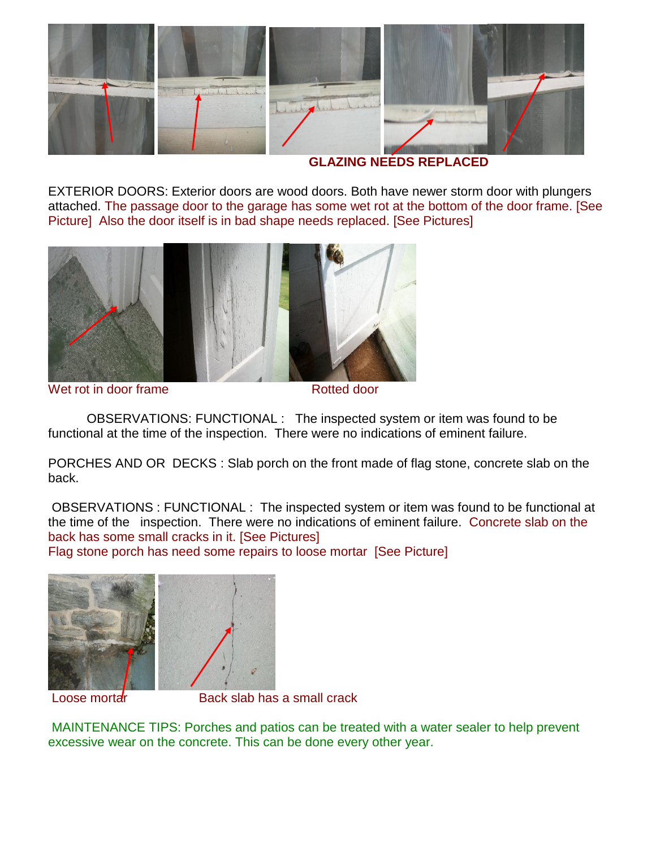

 **GLAZING NEEDS REPLACED**

EXTERIOR DOORS: Exterior doors are wood doors. Both have newer storm door with plungers attached. The passage door to the garage has some wet rot at the bottom of the door frame. [See Picture] Also the door itself is in bad shape needs replaced. [See Pictures]



Wet rot in door frame **Rotted** door

OBSERVATIONS: FUNCTIONAL : The inspected system or item was found to be functional at the time of the inspection. There were no indications of eminent failure.

PORCHES AND OR DECKS : Slab porch on the front made of flag stone, concrete slab on the back.

OBSERVATIONS : FUNCTIONAL : The inspected system or item was found to be functional at the time of the inspection. There were no indications of eminent failure. Concrete slab on the back has some small cracks in it. [See Pictures] Flag stone porch has need some repairs to loose mortar [See Picture]



Loose mortar **Back slab has a small crack** 

MAINTENANCE TIPS: Porches and patios can be treated with a water sealer to help prevent excessive wear on the concrete. This can be done every other year.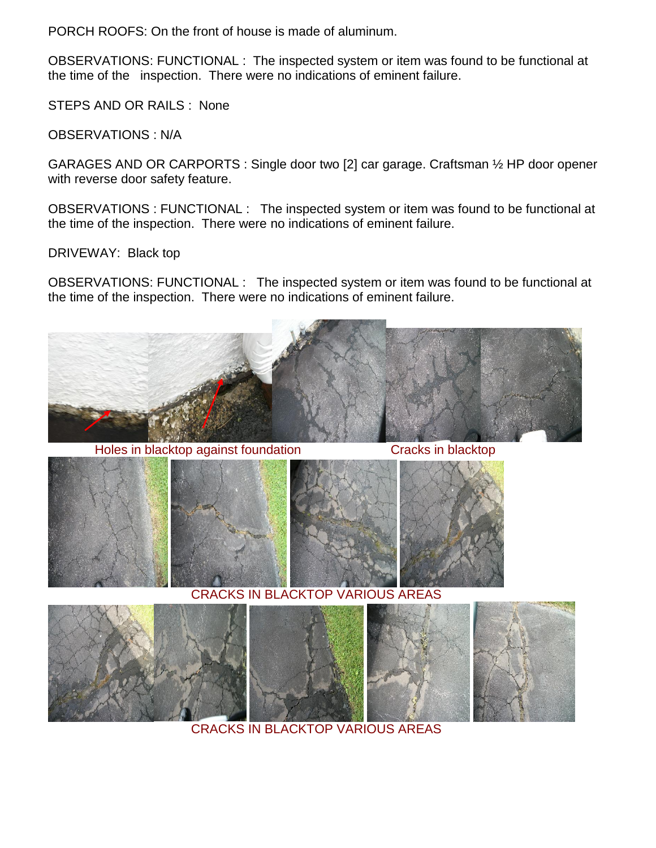PORCH ROOFS: On the front of house is made of aluminum.

OBSERVATIONS: FUNCTIONAL : The inspected system or item was found to be functional at the time of the inspection. There were no indications of eminent failure.

STEPS AND OR RAILS : None

OBSERVATIONS : N/A

GARAGES AND OR CARPORTS : Single door two [2] car garage. Craftsman ½ HP door opener with reverse door safety feature.

OBSERVATIONS : FUNCTIONAL : The inspected system or item was found to be functional at the time of the inspection. There were no indications of eminent failure.

DRIVEWAY: Black top

OBSERVATIONS: FUNCTIONAL : The inspected system or item was found to be functional at the time of the inspection. There were no indications of eminent failure.



Holes in blacktop against foundation **Example 20** Cracks in blacktop







CRACKS IN BLACKTOP VARIOUS AREAS



CRACKS IN BLACKTOP VARIOUS AREAS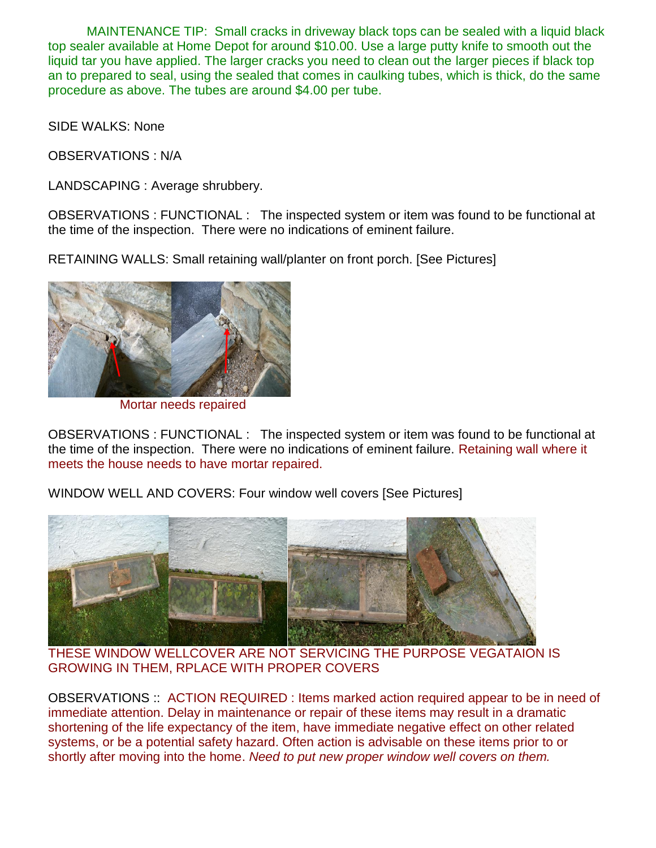MAINTENANCE TIP: Small cracks in driveway black tops can be sealed with a liquid black top sealer available at Home Depot for around \$10.00. Use a large putty knife to smooth out the liquid tar you have applied. The larger cracks you need to clean out the larger pieces if black top an to prepared to seal, using the sealed that comes in caulking tubes, which is thick, do the same procedure as above. The tubes are around \$4.00 per tube.

SIDE WALKS: None

OBSERVATIONS : N/A

LANDSCAPING : Average shrubbery.

OBSERVATIONS : FUNCTIONAL : The inspected system or item was found to be functional at the time of the inspection. There were no indications of eminent failure.

RETAINING WALLS: Small retaining wall/planter on front porch. [See Pictures]



Mortar needs repaired

OBSERVATIONS : FUNCTIONAL : The inspected system or item was found to be functional at the time of the inspection. There were no indications of eminent failure. Retaining wall where it meets the house needs to have mortar repaired.

WINDOW WELL AND COVERS: Four window well covers [See Pictures]



THESE WINDOW WELLCOVER ARE NOT SERVICING THE PURPOSE VEGATAION IS GROWING IN THEM, RPLACE WITH PROPER COVERS

OBSERVATIONS :: ACTION REQUIRED : Items marked action required appear to be in need of immediate attention. Delay in maintenance or repair of these items may result in a dramatic shortening of the life expectancy of the item, have immediate negative effect on other related systems, or be a potential safety hazard. Often action is advisable on these items prior to or shortly after moving into the home. *Need to put new proper window well covers on them.*